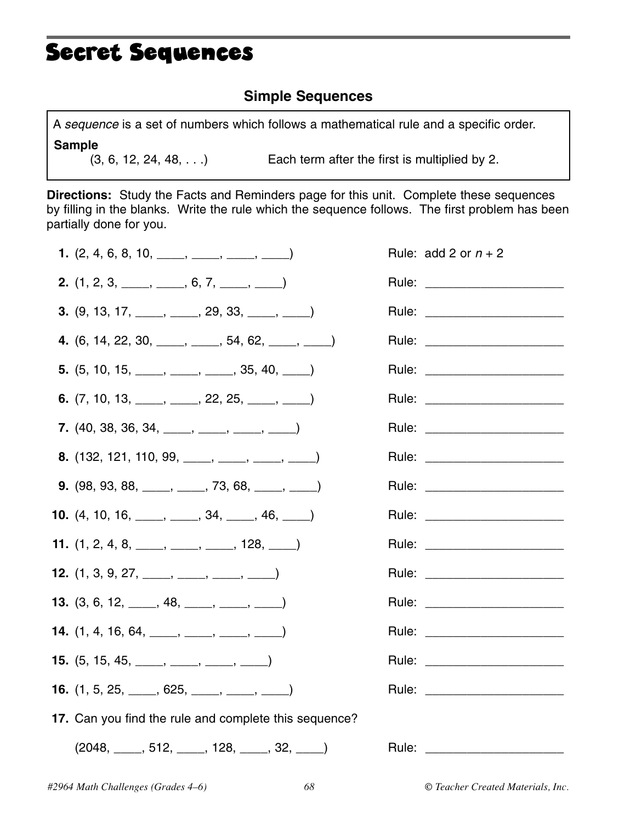## Secret Sequences

### **Simple Sequences**

A *sequence* is a set of numbers which follows a mathematical rule and a specific order. **Sample**

 $(3, 6, 12, 24, 48, ...)$  Each term after the first is multiplied by 2.

**Directions:** Study the Facts and Reminders page for this unit. Complete these sequences by filling in the blanks. Write the rule which the sequence follows. The first problem has been partially done for you.

| 1. $(2, 4, 6, 8, 10, \underline{\hspace{1cm}}, \underline{\hspace{1cm}}, \underline{\hspace{1cm}}, \underline{\hspace{1cm}}, \underline{\hspace{1cm}})$                                      | Rule: add 2 or $n + 2$          |
|----------------------------------------------------------------------------------------------------------------------------------------------------------------------------------------------|---------------------------------|
| <b>2.</b> $(1, 2, 3, \underline{\hspace{1cm}}, \underline{\hspace{1cm}}, \underline{\hspace{1cm}}, 6, 7, \underline{\hspace{1cm}}, \underline{\hspace{1cm}})$                                | Rule: ________________________  |
| <b>3.</b> $(9, 13, 17, \underline{\hspace{1cm}} , \underline{\hspace{1cm}} , 29, 33, \underline{\hspace{1cm}} , \underline{\hspace{1cm}} )$                                                  | Rule: ________________________  |
| <b>4.</b> (6, 14, 22, 30, _____, ____, 54, 62, ____, _____)                                                                                                                                  | Rule: ________________________  |
| <b>5.</b> $(5, 10, 15, \underline{\hspace{1cm}}, \underline{\hspace{1cm}}, \underline{\hspace{1cm}}, \underline{\hspace{1cm}}, 35, 40, \underline{\hspace{1cm}}, \underline{\hspace{1cm}})$  |                                 |
| 6. $(7, 10, 13, \underline{\hspace{1cm}}, \underline{\hspace{1cm}}, 22, 25, \underline{\hspace{1cm}}, \underline{\hspace{1cm}})$                                                             | Rule: _________________________ |
| <b>7.</b> $(40, 38, 36, 34, \underline{\hspace{1cm}}, \underline{\hspace{1cm}}, \underline{\hspace{1cm}}, \underline{\hspace{1cm}}, \underline{\hspace{1cm}})$                               | Rule: ________________________  |
| <b>8.</b> $(132, 121, 110, 99, \underline{\hspace{1cm}}, \underline{\hspace{1cm}}, \underline{\hspace{1cm}}, \underline{\hspace{1cm}}, \underline{\hspace{1cm}})$                            | Rule: ________________________  |
| <b>9.</b> (98, 93, 88, <u>____</u> , ____, 73, 68, ____, ____)                                                                                                                               | Rule: ________________________  |
| <b>10.</b> $(4, 10, 16, \underline{\hspace{1cm}}, \underline{\hspace{1cm}}, \underline{\hspace{1cm}}, 34, \underline{\hspace{1cm}}, 46, \underline{\hspace{1cm}}, \underline{\hspace{1cm}})$ | Rule: ________________________  |
| <b>11.</b> $(1, 2, 4, 8, \underline{\hspace{1cm}}, \underline{\hspace{1cm}}, \underline{\hspace{1cm}}, \underline{\hspace{1cm}}, 128, \underline{\hspace{1cm}})$                             | Rule: _______________________   |
| <b>12.</b> $(1, 3, 9, 27, \underline{\hspace{1cm}}, \underline{\hspace{1cm}}, \underline{\hspace{1cm}}, \underline{\hspace{1cm}})$                                                           | Rule: ________________________  |
| <b>13.</b> $(3, 6, 12, \underline{\hspace{1cm}}, 48, \underline{\hspace{1cm}}, \underline{\hspace{1cm}}, \underline{\hspace{1cm}})$                                                          | Rule: ________________________  |
| <b>14.</b> $(1, 4, 16, 64, \underline{\hspace{1cm}}, \underline{\hspace{1cm}}, \underline{\hspace{1cm}}, \underline{\hspace{1cm}}, \underline{\hspace{1cm}})$                                | Rule: _______________________   |
| <b>15.</b> $(5, 15, 45, \underline{\hspace{1cm}}, \underline{\hspace{1cm}}, \underline{\hspace{1cm}}, \underline{\hspace{1cm}}, \underline{\hspace{1cm}})$                                   | Rule: ________________________  |
| <b>16.</b> $(1, 5, 25, \underline{\hspace{1cm}}, 625, \underline{\hspace{1cm}}, \underline{\hspace{1cm}}, \underline{\hspace{1cm}}, \underline{\hspace{1cm}})$                               | Rule: ________________________  |
| 17. Can you find the rule and complete this sequence?                                                                                                                                        |                                 |
| $(2048, \_\_\_\$ 512, $\_\_\_\$ 128, $\_\_\_\$ 32, $\_\_\_\)$                                                                                                                                | Rule: ___________               |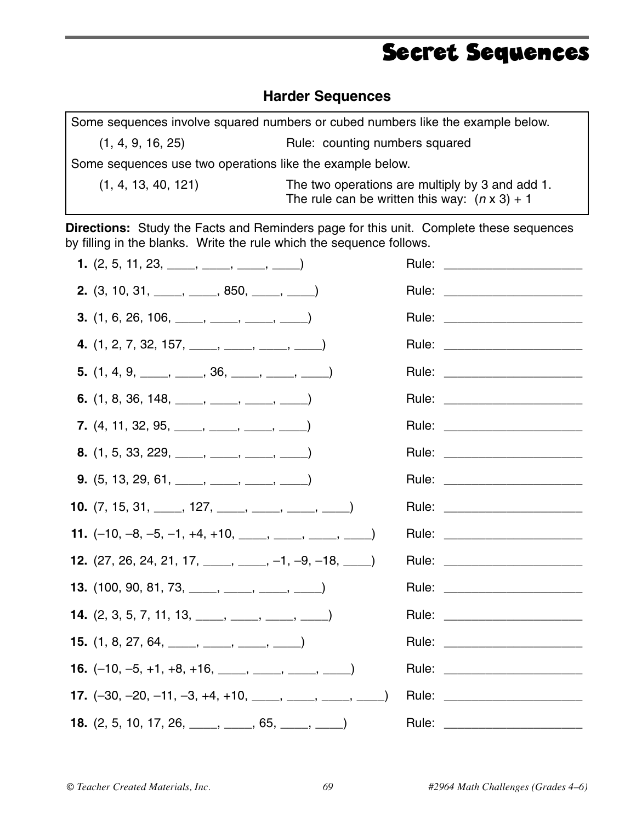### Secret Sequences

### **Harder Sequences**

|                                                           | Some sequences involve squared numbers or cubed numbers like the example below.                         |  |
|-----------------------------------------------------------|---------------------------------------------------------------------------------------------------------|--|
| (1, 4, 9, 16, 25)                                         | Rule: counting numbers squared                                                                          |  |
| Some sequences use two operations like the example below. |                                                                                                         |  |
| (1, 4, 13, 40, 121)                                       | The two operations are multiply by 3 and add 1.<br>The rule can be written this way: $(n \times 3) + 1$ |  |

**Directions:** Study the Facts and Reminders page for this unit. Complete these sequences by filling in the blanks. Write the rule which the sequence follows.

| 1. $(2, 5, 11, 23, \underline{\hspace{1cm}}, \underline{\hspace{1cm}}, \underline{\hspace{1cm}}, \underline{\hspace{1cm}}, \underline{\hspace{1cm}})$                     |                                  |
|---------------------------------------------------------------------------------------------------------------------------------------------------------------------------|----------------------------------|
| <b>2.</b> $(3, 10, 31, \underline{\hspace{1cm}}, \underline{\hspace{1cm}}, 850, \underline{\hspace{1cm}}, \underline{\hspace{1cm}})$                                      | Rule: ________________________   |
| <b>3.</b> $(1, 6, 26, 106, \underline{\hspace{1cm}}, \underline{\hspace{1cm}}, \underline{\hspace{1cm}}, \underline{\hspace{1cm}}, \underline{\hspace{1cm}})$             | Rule: __________________________ |
| 4. $(1, 2, 7, 32, 157, \underline{\hspace{1cm}}, \underline{\hspace{1cm}}, \underline{\hspace{1cm}}, \underline{\hspace{1cm}}, \underline{\hspace{1cm}})$                 | Rule: _________________________  |
| 5. $(1, 4, 9, \underline{\hspace{1cm}}, \underline{\hspace{1cm}}, 36, \underline{\hspace{1cm}}, \underline{\hspace{1cm}}, \underline{\hspace{1cm}})$                      |                                  |
| 6. $(1, 8, 36, 148, \underline{\hspace{1cm}}, \underline{\hspace{1cm}}, \underline{\hspace{1cm}}, \underline{\hspace{1cm}}, \underline{\hspace{1cm}})$                    |                                  |
| 7. $(4, 11, 32, 95, \underline{\hspace{1cm}}, \underline{\hspace{1cm}}, \underline{\hspace{1cm}}, \underline{\hspace{1cm}}, \underline{\hspace{1cm}})$                    | Rule: ________________________   |
| <b>8.</b> $(1, 5, 33, 229, \underline{\hspace{1cm}}, \underline{\hspace{1cm}}, \underline{\hspace{1cm}}, \underline{\hspace{1cm}})$                                       |                                  |
| <b>9.</b> $(5, 13, 29, 61, \underline{\hspace{1cm}}, \underline{\hspace{1cm}}, \underline{\hspace{1cm}}, \underline{\hspace{1cm}}, \underline{\hspace{1cm}})$             |                                  |
| <b>10.</b> $(7, 15, 31, \underline{\hspace{1cm}}, 127, \underline{\hspace{1cm}}, \underline{\hspace{1cm}}, \underline{\hspace{1cm}}, \underline{\hspace{1cm}})$           |                                  |
| <b>11.</b> $(-10, -8, -5, -1, +4, +10, \underline{\hspace{1cm}}, \underline{\hspace{1cm}}, \underline{\hspace{1cm}}, \underline{\hspace{1cm}}, \underline{\hspace{1cm}})$ |                                  |
| <b>12.</b> $(27, 26, 24, 21, 17, \underline{\hspace{1cm}}, \underline{\hspace{1cm}}, -1, -9, -18, \underline{\hspace{1cm}},$                                              | Rule: ________________________   |
| <b>13.</b> $(100, 90, 81, 73, \underline{\hspace{1cm}}, \underline{\hspace{1cm}}, \underline{\hspace{1cm}}, \underline{\hspace{1cm}}, \underline{\hspace{1cm}})$          |                                  |
| <b>14.</b> $(2, 3, 5, 7, 11, 13, \underline{\hspace{1cm}}, \underline{\hspace{1cm}}, \underline{\hspace{1cm}}, \underline{\hspace{1cm}}, \underline{\hspace{1cm}})$       | Rule: ________________________   |
| <b>15.</b> $(1, 8, 27, 64, \underline{\hspace{1cm}}, \underline{\hspace{1cm}}, \underline{\hspace{1cm}}, \underline{\hspace{1cm}}, \underline{\hspace{1cm}})$             | Rule: ________________________   |
| <b>16.</b> $(-10, -5, +1, +8, +16, \underline{\hspace{1cm}}, \underline{\hspace{1cm}}, \underline{\hspace{1cm}}, \underline{\hspace{1cm}}, \underline{\hspace{1cm}})$     | Rule: _________________________  |
| <b>17.</b> $(-30, -20, -11, -3, +4, +10, \underline{\qquad}, \underline{\qquad}, \underline{\qquad}, \underline{\qquad}, \underline{\qquad})$                             |                                  |
| <b>18.</b> $(2, 5, 10, 17, 26, \underline{\hspace{1cm}}, \underline{\hspace{1cm}}, 65, \underline{\hspace{1cm}}, \underline{\hspace{1cm}})$                               |                                  |